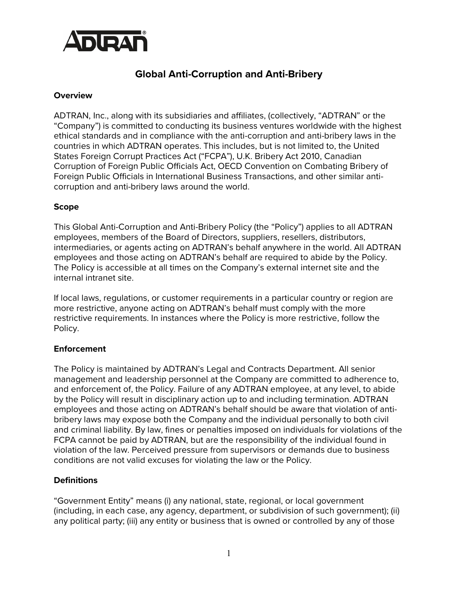

# **Global Anti-Corruption and Anti-Bribery**

### **Overview**

ADTRAN, Inc., along with its subsidiaries and affiliates, (collectively, "ADTRAN" or the "Company") is committed to conducting its business ventures worldwide with the highest ethical standards and in compliance with the anti-corruption and anti-bribery laws in the countries in which ADTRAN operates. This includes, but is not limited to, the United States Foreign Corrupt Practices Act ("FCPA"), U.K. Bribery Act 2010, Canadian Corruption of Foreign Public Officials Act, OECD Convention on Combating Bribery of Foreign Public Officials in International Business Transactions, and other similar anticorruption and anti-bribery laws around the world.

### **Scope**

This Global Anti-Corruption and Anti-Bribery Policy (the "Policy") applies to all ADTRAN employees, members of the Board of Directors, suppliers, resellers, distributors, intermediaries, or agents acting on ADTRAN's behalf anywhere in the world. All ADTRAN employees and those acting on ADTRAN's behalf are required to abide by the Policy. The Policy is accessible at all times on the Company's external internet site and the internal intranet site.

If local laws, regulations, or customer requirements in a particular country or region are more restrictive, anyone acting on ADTRAN's behalf must comply with the more restrictive requirements. In instances where the Policy is more restrictive, follow the Policy.

## **Enforcement**

The Policy is maintained by ADTRAN's Legal and Contracts Department. All senior management and leadership personnel at the Company are committed to adherence to, and enforcement of, the Policy. Failure of any ADTRAN employee, at any level, to abide by the Policy will result in disciplinary action up to and including termination. ADTRAN employees and those acting on ADTRAN's behalf should be aware that violation of antibribery laws may expose both the Company and the individual personally to both civil and criminal liability. By law, fines or penalties imposed on individuals for violations of the FCPA cannot be paid by ADTRAN, but are the responsibility of the individual found in violation of the law. Perceived pressure from supervisors or demands due to business conditions are not valid excuses for violating the law or the Policy.

## **Definitions**

"Government Entity" means (i) any national, state, regional, or local government (including, in each case, any agency, department, or subdivision of such government); (ii) any political party; (iii) any entity or business that is owned or controlled by any of those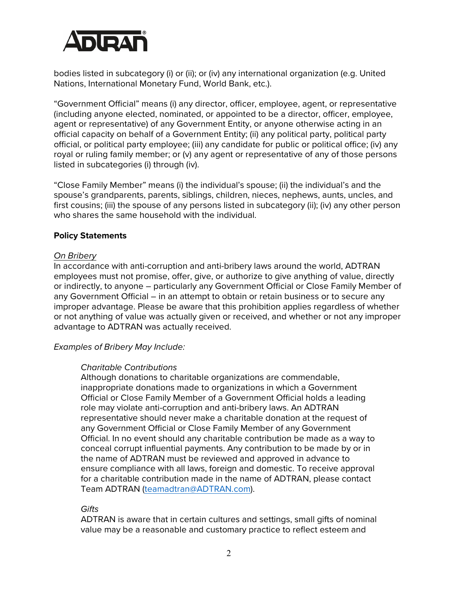

bodies listed in subcategory (i) or (ii); or (iv) any international organization (e.g. United Nations, International Monetary Fund, World Bank, etc.).

"Government Official" means (i) any director, officer, employee, agent, or representative (including anyone elected, nominated, or appointed to be a director, officer, employee, agent or representative) of any Government Entity, or anyone otherwise acting in an official capacity on behalf of a Government Entity; (ii) any political party, political party official, or political party employee; (iii) any candidate for public or political office; (iv) any royal or ruling family member; or (v) any agent or representative of any of those persons listed in subcategories (i) through (iv).

"Close Family Member" means (i) the individual's spouse; (ii) the individual's and the spouse's grandparents, parents, siblings, children, nieces, nephews, aunts, uncles, and first cousins; (iii) the spouse of any persons listed in subcategory (ii); (iv) any other person who shares the same household with the individual.

### **Policy Statements**

#### *On Bribery*

In accordance with anti-corruption and anti-bribery laws around the world, ADTRAN employees must not promise, offer, give, or authorize to give anything of value, directly or indirectly, to anyone – particularly any Government Official or Close Family Member of any Government Official – in an attempt to obtain or retain business or to secure any improper advantage. Please be aware that this prohibition applies regardless of whether or not anything of value was actually given or received, and whether or not any improper advantage to ADTRAN was actually received.

*Examples of Bribery May Include:*

#### *Charitable Contributions*

Although donations to charitable organizations are commendable, inappropriate donations made to organizations in which a Government Official or Close Family Member of a Government Official holds a leading role may violate anti-corruption and anti-bribery laws. An ADTRAN representative should never make a charitable donation at the request of any Government Official or Close Family Member of any Government Official. In no event should any charitable contribution be made as a way to conceal corrupt influential payments. Any contribution to be made by or in the name of ADTRAN must be reviewed and approved in advance to ensure compliance with all laws, foreign and domestic. To receive approval for a charitable contribution made in the name of ADTRAN, please contact Team ADTRAN [\(teamadtran@ADTRAN.com\)](mailto:teamadtran@ADTRAN.com).

#### *Gifts*

ADTRAN is aware that in certain cultures and settings, small gifts of nominal value may be a reasonable and customary practice to reflect esteem and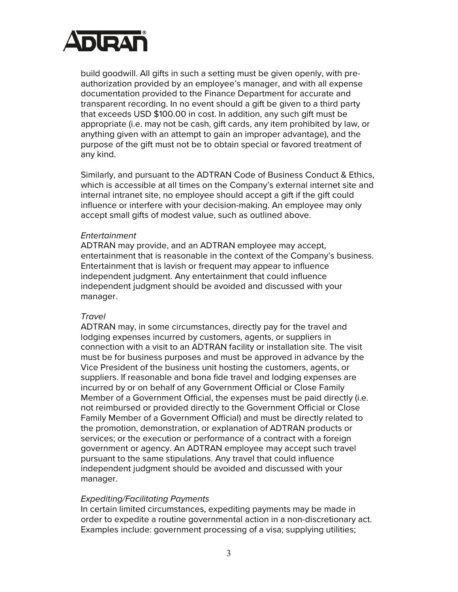

build goodwill. All gifts in such a setting must be given openly, with preauthorization provided by an employee's manager, and with all expense documentation provided to the Finance Department for accurate and transparent recording. In no event should a gift be given to a third party that exceeds USD \$100.00 in cost. In addition, any such gift must be appropriate (i.e. may not be cash, gift cards, any item prohibited by law, or anything given with an attempt to gain an improper advantage), and the purpose of the gift must not be to obtain special or favored treatment of any kind.

Similarly, and pursuant to the ADTRAN Code of Business Conduct & Ethics, which is accessible at all times on the Company's external internet site and internal intranet site, no employee should accept a gift if the gift could influence or interfere with your decision-making. An employee may only accept small gifts of modest value, such as outlined above.

#### *Entertainment*

ADTRAN may provide, and an ADTRAN employee may accept, entertainment that is reasonable in the context of the Company's business. Entertainment that is lavish or frequent may appear to influence independent judgment. Any entertainment that could influence independent judgment should be avoided and discussed with your manager.

#### *Travel*

ADTRAN may, in some circumstances, directly pay for the travel and lodging expenses incurred by customers, agents, or suppliers in connection with a visit to an ADTRAN facility or installation site. The visit must be for business purposes and must be approved in advance by the Vice President of the business unit hosting the customers, agents, or suppliers. If reasonable and bona fide travel and lodging expenses are incurred by or on behalf of any Government Official or Close Family Member of a Government Official, the expenses must be paid directly (i.e. not reimbursed or provided directly to the Government Official or Close Family Member of a Government Official) and must be directly related to the promotion, demonstration, or explanation of ADTRAN products or services; or the execution or performance of a contract with a foreign government or agency. An ADTRAN employee may accept such travel pursuant to the same stipulations. Any travel that could influence independent judgment should be avoided and discussed with your manager.

#### *Expediting/Facilitating Payments*

In certain limited circumstances, expediting payments may be made in order to expedite a routine governmental action in a non-discretionary act. Examples include: government processing of a visa; supplying utilities;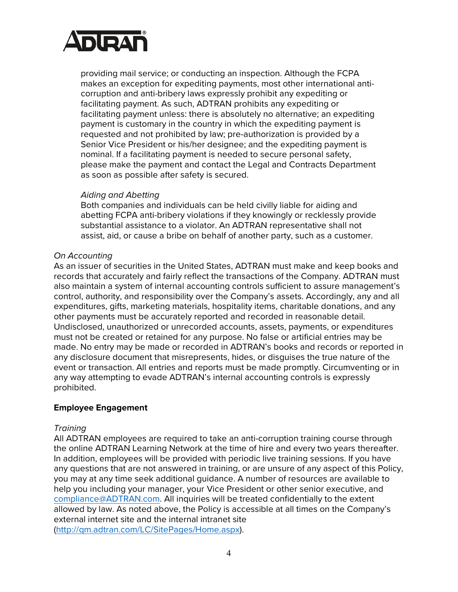

providing mail service; or conducting an inspection. Although the FCPA makes an exception for expediting payments, most other international anticorruption and anti-bribery laws expressly prohibit any expediting or facilitating payment. As such, ADTRAN prohibits any expediting or facilitating payment unless: there is absolutely no alternative; an expediting payment is customary in the country in which the expediting payment is requested and not prohibited by law; pre-authorization is provided by a Senior Vice President or his/her designee; and the expediting payment is nominal. If a facilitating payment is needed to secure personal safety, please make the payment and contact the Legal and Contracts Department as soon as possible after safety is secured.

#### *Aiding and Abetting*

Both companies and individuals can be held civilly liable for aiding and abetting FCPA anti-bribery violations if they knowingly or recklessly provide substantial assistance to a violator. An ADTRAN representative shall not assist, aid, or cause a bribe on behalf of another party, such as a customer.

### *On Accounting*

As an issuer of securities in the United States, ADTRAN must make and keep books and records that accurately and fairly reflect the transactions of the Company. ADTRAN must also maintain a system of internal accounting controls sufficient to assure management's control, authority, and responsibility over the Company's assets. Accordingly, any and all expenditures, gifts, marketing materials, hospitality items, charitable donations, and any other payments must be accurately reported and recorded in reasonable detail. Undisclosed, unauthorized or unrecorded accounts, assets, payments, or expenditures must not be created or retained for any purpose. No false or artificial entries may be made. No entry may be made or recorded in ADTRAN's books and records or reported in any disclosure document that misrepresents, hides, or disguises the true nature of the event or transaction. All entries and reports must be made promptly. Circumventing or in any way attempting to evade ADTRAN's internal accounting controls is expressly prohibited.

### **Employee Engagement**

### *Training*

All ADTRAN employees are required to take an anti-corruption training course through the online ADTRAN Learning Network at the time of hire and every two years thereafter. In addition, employees will be provided with periodic live training sessions. If you have any questions that are not answered in training, or are unsure of any aspect of this Policy, you may at any time seek additional guidance. A number of resources are available to help you including your manager, your Vice President or other senior executive, and [compliance@ADTRAN.com.](mailto:compliance@ADTRAN.com) All inquiries will be treated confidentially to the extent allowed by law. As noted above, the Policy is accessible at all times on the Company's external internet site and the internal intranet site [\(http://qm.adtran.com/LC/SitePages/Home.aspx\)](http://qm.adtran.com/LC/SitePages/Home.aspx).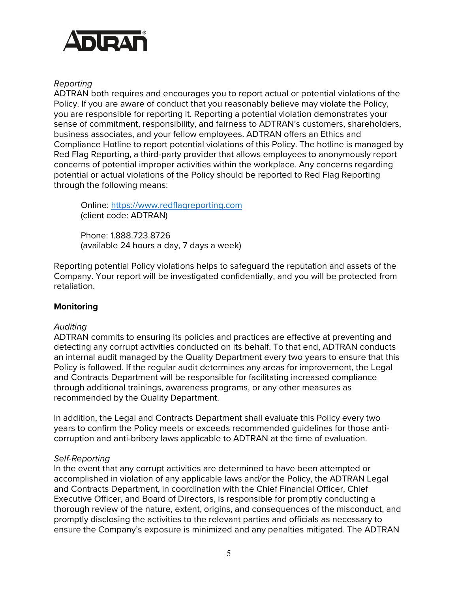

## *Reporting*

ADTRAN both requires and encourages you to report actual or potential violations of the Policy. If you are aware of conduct that you reasonably believe may violate the Policy, you are responsible for reporting it. Reporting a potential violation demonstrates your sense of commitment, responsibility, and fairness to ADTRAN's customers, shareholders, business associates, and your fellow employees. ADTRAN offers an Ethics and Compliance Hotline to report potential violations of this Policy. The hotline is managed by Red Flag Reporting, a third-party provider that allows employees to anonymously report concerns of potential improper activities within the workplace. Any concerns regarding potential or actual violations of the Policy should be reported to Red Flag Reporting through the following means:

Online: [https://www.redflagreporting.com](https://www.redflagreporting.com/) (client code: ADTRAN)

Phone: 1.888.723.8726 (available 24 hours a day, 7 days a week)

Reporting potential Policy violations helps to safeguard the reputation and assets of the Company. Your report will be investigated confidentially, and you will be protected from retaliation.

## **Monitoring**

### *Auditing*

ADTRAN commits to ensuring its policies and practices are effective at preventing and detecting any corrupt activities conducted on its behalf. To that end, ADTRAN conducts an internal audit managed by the Quality Department every two years to ensure that this Policy is followed. If the regular audit determines any areas for improvement, the Legal and Contracts Department will be responsible for facilitating increased compliance through additional trainings, awareness programs, or any other measures as recommended by the Quality Department.

In addition, the Legal and Contracts Department shall evaluate this Policy every two years to confirm the Policy meets or exceeds recommended guidelines for those anticorruption and anti-bribery laws applicable to ADTRAN at the time of evaluation.

### *Self-Reporting*

In the event that any corrupt activities are determined to have been attempted or accomplished in violation of any applicable laws and/or the Policy, the ADTRAN Legal and Contracts Department, in coordination with the Chief Financial Officer, Chief Executive Officer, and Board of Directors, is responsible for promptly conducting a thorough review of the nature, extent, origins, and consequences of the misconduct, and promptly disclosing the activities to the relevant parties and officials as necessary to ensure the Company's exposure is minimized and any penalties mitigated. The ADTRAN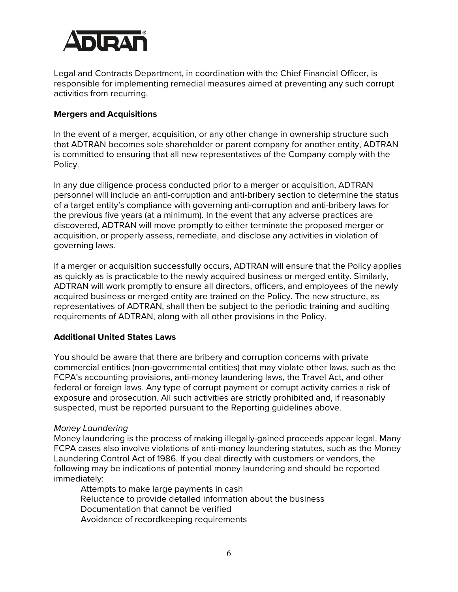

Legal and Contracts Department, in coordination with the Chief Financial Officer, is responsible for implementing remedial measures aimed at preventing any such corrupt activities from recurring.

### **Mergers and Acquisitions**

In the event of a merger, acquisition, or any other change in ownership structure such that ADTRAN becomes sole shareholder or parent company for another entity, ADTRAN is committed to ensuring that all new representatives of the Company comply with the Policy.

In any due diligence process conducted prior to a merger or acquisition, ADTRAN personnel will include an anti-corruption and anti-bribery section to determine the status of a target entity's compliance with governing anti-corruption and anti-bribery laws for the previous five years (at a minimum). In the event that any adverse practices are discovered, ADTRAN will move promptly to either terminate the proposed merger or acquisition, or properly assess, remediate, and disclose any activities in violation of governing laws.

If a merger or acquisition successfully occurs, ADTRAN will ensure that the Policy applies as quickly as is practicable to the newly acquired business or merged entity. Similarly, ADTRAN will work promptly to ensure all directors, officers, and employees of the newly acquired business or merged entity are trained on the Policy. The new structure, as representatives of ADTRAN, shall then be subject to the periodic training and auditing requirements of ADTRAN, along with all other provisions in the Policy.

### **Additional United States Laws**

You should be aware that there are bribery and corruption concerns with private commercial entities (non-governmental entities) that may violate other laws, such as the FCPA's accounting provisions, anti-money laundering laws, the Travel Act, and other federal or foreign laws. Any type of corrupt payment or corrupt activity carries a risk of exposure and prosecution. All such activities are strictly prohibited and, if reasonably suspected, must be reported pursuant to the Reporting guidelines above.

### *Money Laundering*

Money laundering is the process of making illegally-gained proceeds appear legal. Many FCPA cases also involve violations of anti-money laundering statutes, such as the Money Laundering Control Act of 1986. If you deal directly with customers or vendors, the following may be indications of potential money laundering and should be reported immediately:

Attempts to make large payments in cash Reluctance to provide detailed information about the business Documentation that cannot be verified Avoidance of recordkeeping requirements